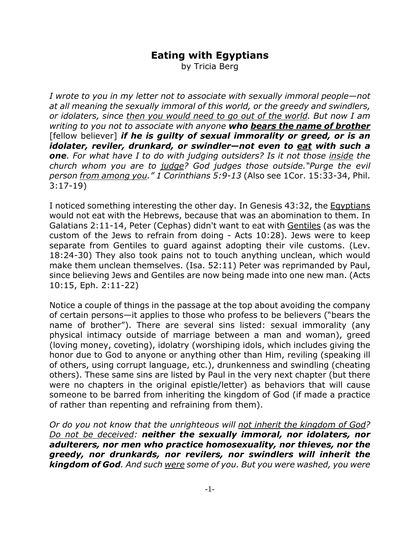## **Eating with Egyptians**

by Tricia Berg

*I wrote to you in my letter not to associate with sexually immoral people—not at all meaning the sexually immoral of this world, or the greedy and swindlers, or idolaters, since then you would need to go out of the world. But now I am writing to you not to associate with anyone who bears the name of brother* [fellow believer] *if he is guilty of sexual immorality or greed, or is an idolater, reviler, drunkard, or swindler—not even to eat with such a one. For what have I to do with judging outsiders? Is it not those inside the church whom you are to judge? God judges those outside."Purge the evil person from among you." 1 Corinthians 5:9-13* (Also see 1Cor. 15:33-34, Phil. 3:17-19)

I noticed something interesting the other day. In Genesis 43:32, the Egyptians would not eat with the Hebrews, because that was an abomination to them. In Galatians 2:11-14, Peter (Cephas) didn't want to eat with Gentiles (as was the custom of the Jews to refrain from doing - Acts 10:28). Jews were to keep separate from Gentiles to guard against adopting their vile customs. (Lev. 18:24-30) They also took pains not to touch anything unclean, which would make them unclean themselves. (Isa. 52:11) Peter was reprimanded by Paul, since believing Jews and Gentiles are now being made into one new man. (Acts 10:15, Eph. 2:11-22)

Notice a couple of things in the passage at the top about avoiding the company of certain persons—it applies to those who profess to be believers ("bears the name of brother"). There are several sins listed: sexual immorality (any physical intimacy outside of marriage between a man and woman), greed (loving money, coveting), idolatry (worshiping idols, which includes giving the honor due to God to anyone or anything other than Him, reviling (speaking ill of others, using corrupt language, etc.), drunkenness and swindling (cheating others). These same sins are listed by Paul in the very next chapter (but there were no chapters in the original epistle/letter) as behaviors that will cause someone to be barred from inheriting the kingdom of God (if made a practice of rather than repenting and refraining from them).

*Or do you not know that the unrighteous will not inherit the kingdom of God? Do not be deceived: neither the sexually immoral, nor idolaters, nor adulterers, nor men who practice homosexuality, nor thieves, nor the greedy, nor drunkards, nor revilers, nor swindlers will inherit the kingdom of God. And such were some of you. But you were washed, you were*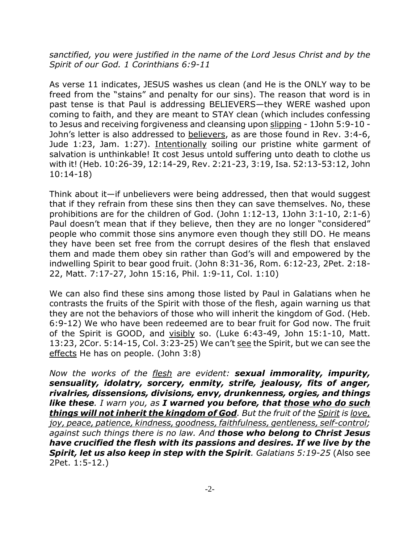*sanctified, you were justified in the name of the Lord Jesus Christ and by the Spirit of our God. 1 Corinthians 6:9-11*

As verse 11 indicates, JESUS washes us clean (and He is the ONLY way to be freed from the "stains" and penalty for our sins). The reason that word is in past tense is that Paul is addressing BELIEVERS—they WERE washed upon coming to faith, and they are meant to STAY clean (which includes confessing to Jesus and receiving forgiveness and cleansing upon slipping - 1John 5:9-10 - John's letter is also addressed to believers, as are those found in Rev. 3:4-6, Jude 1:23, Jam. 1:27). Intentionally soiling our pristine white garment of salvation is unthinkable! It cost Jesus untold suffering unto death to clothe us with it! (Heb. 10:26-39, 12:14-29, Rev. 2:21-23, 3:19, Isa. 52:13-53:12, John 10:14-18)

Think about it—if unbelievers were being addressed, then that would suggest that if they refrain from these sins then they can save themselves. No, these prohibitions are for the children of God. (John 1:12-13, 1John 3:1-10, 2:1-6) Paul doesn't mean that if they believe, then they are no longer "considered" people who commit those sins anymore even though they still DO. He means they have been set free from the corrupt desires of the flesh that enslaved them and made them obey sin rather than God's will and empowered by the indwelling Spirit to bear good fruit. (John 8:31-36, Rom. 6:12-23, 2Pet. 2:18- 22, Matt. 7:17-27, John 15:16, Phil. 1:9-11, Col. 1:10)

We can also find these sins among those listed by Paul in Galatians when he contrasts the fruits of the Spirit with those of the flesh, again warning us that they are not the behaviors of those who will inherit the kingdom of God. (Heb. 6:9-12) We who have been redeemed are to bear fruit for God now. The fruit of the Spirit is GOOD, and visibly so. (Luke 6:43-49, John 15:1-10, Matt. 13:23, 2Cor. 5:14-15, Col. 3:23-25) We can't see the Spirit, but we can see the effects He has on people. (John 3:8)

*Now the works of the flesh are evident: sexual immorality, impurity, sensuality, idolatry, sorcery, enmity, strife, jealousy, fits of anger, rivalries, dissensions, divisions, envy, drunkenness, orgies, and things like these. I warn you, as I warned you before, that those who do such things will not inherit the kingdom of God. But the fruit of the Spirit is love, joy, peace, patience, kindness, goodness, faithfulness, gentleness, self-control; against such things there is no law. And those who belong to Christ Jesus have crucified the flesh with its passions and desires. If we live by the Spirit, let us also keep in step with the Spirit. Galatians 5:19-25* (Also see 2Pet. 1:5-12.)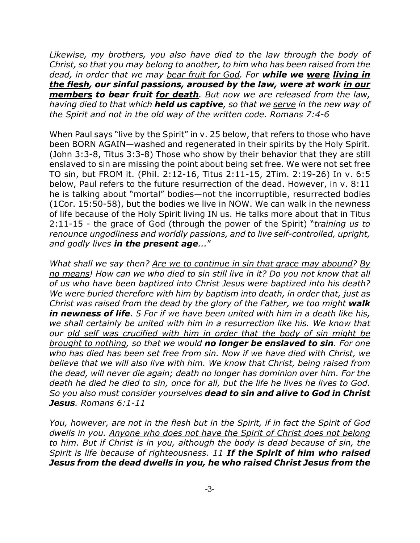*Likewise, my brothers, you also have died to the law through the body of Christ, so that you may belong to another, to him who has been raised from the dead, in order that we may bear fruit for God. For while we were living in the flesh, our sinful passions, aroused by the law, were at work in our members to bear fruit for death. But now we are released from the law, having died to that which held us captive, so that we serve in the new way of the Spirit and not in the old way of the written code. Romans 7:4-6*

When Paul says "live by the Spirit" in v. 25 below, that refers to those who have been BORN AGAIN—washed and regenerated in their spirits by the Holy Spirit. (John 3:3-8, Titus 3:3-8) Those who show by their behavior that they are still enslaved to sin are missing the point about being set free. We were not set free TO sin, but FROM it. (Phil. 2:12-16, Titus 2:11-15, 2Tim. 2:19-26) In v. 6:5 below, Paul refers to the future resurrection of the dead. However, in v. 8:11 he is talking about "mortal" bodies—not the incorruptible, resurrected bodies (1Cor. 15:50-58), but the bodies we live in NOW. We can walk in the newness of life because of the Holy Spirit living IN us. He talks more about that in Titus 2:11-15 - the grace of God (through the power of the Spirit) "*training us to renounce ungodliness and worldly passions, and to live self-controlled, upright, and godly lives in the present age...*"

*What shall we say then? Are we to continue in sin that grace may abound? By no means! How can we who died to sin still live in it? Do you not know that all of us who have been baptized into Christ Jesus were baptized into his death? We were buried therefore with him by baptism into death, in order that, just as Christ was raised from the dead by the glory of the Father, we too might walk in newness of life. 5 For if we have been united with him in a death like his, we shall certainly be united with him in a resurrection like his. We know that our old self was crucified with him in order that the body of sin might be brought to nothing, so that we would no longer be enslaved to sin. For one who has died has been set free from sin. Now if we have died with Christ, we believe that we will also live with him. We know that Christ, being raised from the dead, will never die again; death no longer has dominion over him. For the death he died he died to sin, once for all, but the life he lives he lives to God. So you also must consider yourselves dead to sin and alive to God in Christ Jesus. Romans 6:1-11*

*You, however, are not in the flesh but in the Spirit, if in fact the Spirit of God dwells in you. Anyone who does not have the Spirit of Christ does not belong to him. But if Christ is in you, although the body is dead because of sin, the Spirit is life because of righteousness. 11 If the Spirit of him who raised Jesus from the dead dwells in you, he who raised Christ Jesus from the*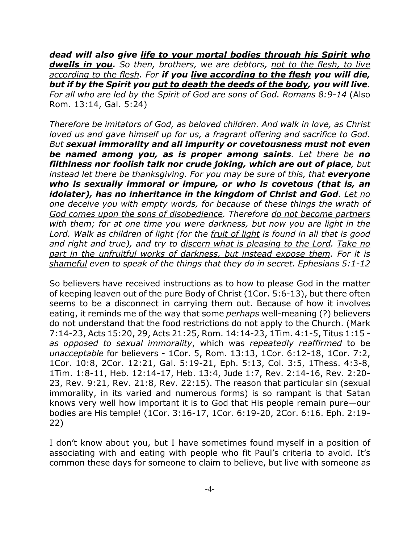*dead will also give life to your mortal bodies through his Spirit who dwells in you. So then, brothers, we are debtors, not to the flesh, to live according to the flesh. For if you live according to the flesh you will die, but if by the Spirit you put to death the deeds of the body, you will live. For all who are led by the Spirit of God are sons of God. Romans 8:9-14* (Also Rom. 13:14, Gal. 5:24)

*Therefore be imitators of God, as beloved children. And walk in love, as Christ loved us and gave himself up for us, a fragrant offering and sacrifice to God. But sexual immorality and all impurity or covetousness must not even be named among you, as is proper among saints. Let there be no filthiness nor foolish talk nor crude joking, which are out of place, but instead let there be thanksgiving. For you may be sure of this, that everyone who is sexually immoral or impure, or who is covetous (that is, an idolater), has no inheritance in the kingdom of Christ and God. Let no one deceive you with empty words, for because of these things the wrath of God comes upon the sons of disobedience. Therefore do not become partners with them; for at one time you were darkness, but now you are light in the Lord. Walk as children of light (for the fruit of light is found in all that is good and right and true), and try to discern what is pleasing to the Lord. Take no part in the unfruitful works of darkness, but instead expose them. For it is shameful even to speak of the things that they do in secret. Ephesians 5:1-12*

So believers have received instructions as to how to please God in the matter of keeping leaven out of the pure Body of Christ (1Cor. 5:6-13), but there often seems to be a disconnect in carrying them out. Because of how it involves eating, it reminds me of the way that some *perhaps* well-meaning (?) believers do not understand that the food restrictions do not apply to the Church. (Mark 7:14-23, Acts 15:20, 29, Acts 21:25, Rom. 14:14-23, 1Tim. 4:1-5, Titus 1:15 *as opposed to sexual immorality*, which was *repeatedly reaffirmed* to be *unacceptable* for believers - 1Cor. 5, Rom. 13:13, 1Cor. 6:12-18, 1Cor. 7:2, 1Cor. 10:8, 2Cor. 12:21, Gal. 5:19-21, Eph. 5:13, Col. 3:5, 1Thess. 4:3-8, 1Tim. 1:8-11, Heb. 12:14-17, Heb. 13:4, Jude 1:7, Rev. 2:14-16, Rev. 2:20- 23, Rev. 9:21, Rev. 21:8, Rev. 22:15). The reason that particular sin (sexual immorality, in its varied and numerous forms) is so rampant is that Satan knows very well how important it is to God that His people remain pure—our bodies are His temple! (1Cor. 3:16-17, 1Cor. 6:19-20, 2Cor. 6:16. Eph. 2:19- 22)

I don't know about you, but I have sometimes found myself in a position of associating with and eating with people who fit Paul's criteria to avoid. It's common these days for someone to claim to believe, but live with someone as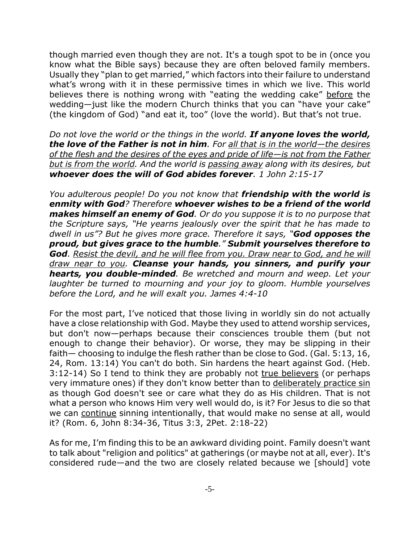though married even though they are not. It's a tough spot to be in (once you know what the Bible says) because they are often beloved family members. Usually they "plan to get married," which factors into their failure to understand what's wrong with it in these permissive times in which we live. This world believes there is nothing wrong with "eating the wedding cake" before the wedding—just like the modern Church thinks that you can "have your cake" (the kingdom of God) "and eat it, too" (love the world). But that's not true.

*Do not love the world or the things in the world. If anyone loves the world, the love of the Father is not in him. For all that is in the world—the desires of the flesh and the desires of the eyes and pride of life—is not from the Father but is from the world. And the world is passing away along with its desires, but whoever does the will of God abides forever. 1 John 2:15-17*

*You adulterous people! Do you not know that friendship with the world is enmity with God? Therefore whoever wishes to be a friend of the world makes himself an enemy of God. Or do you suppose it is to no purpose that the Scripture says, "He yearns jealously over the spirit that he has made to dwell in us"? But he gives more grace. Therefore it says, "God opposes the proud, but gives grace to the humble." Submit yourselves therefore to God. Resist the devil, and he will flee from you. Draw near to God, and he will draw near to you. Cleanse your hands, you sinners, and purify your hearts, you double-minded. Be wretched and mourn and weep. Let your laughter be turned to mourning and your joy to gloom. Humble yourselves before the Lord, and he will exalt you. James 4:4-10*

For the most part, I've noticed that those living in worldly sin do not actually have a close relationship with God. Maybe they used to attend worship services, but don't now—perhaps because their consciences trouble them (but not enough to change their behavior). Or worse, they may be slipping in their faith— choosing to indulge the flesh rather than be close to God. (Gal. 5:13, 16, 24, Rom. 13:14) You can't do both. Sin hardens the heart against God. (Heb. 3:12-14) So I tend to think they are probably not true believers (or perhaps very immature ones) if they don't know better than to deliberately practice sin as though God doesn't see or care what they do as His children. That is not what a person who knows Him very well would do, is it? For Jesus to die so that we can continue sinning intentionally, that would make no sense at all, would it? (Rom. 6, John 8:34-36, Titus 3:3, 2Pet. 2:18-22)

As for me, I'm finding this to be an awkward dividing point. Family doesn't want to talk about "religion and politics" at gatherings (or maybe not at all, ever). It's considered rude—and the two are closely related because we [should] vote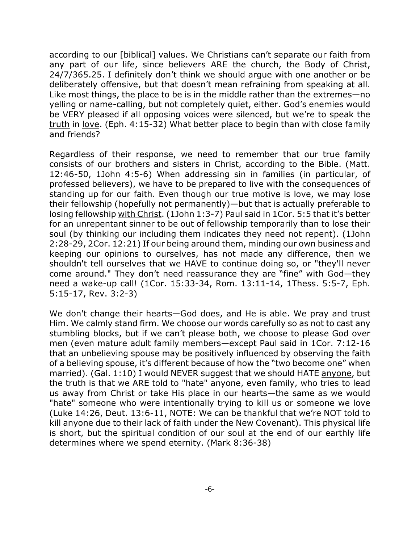according to our [biblical] values. We Christians can't separate our faith from any part of our life, since believers ARE the church, the Body of Christ, 24/7/365.25. I definitely don't think we should argue with one another or be deliberately offensive, but that doesn't mean refraining from speaking at all. Like most things, the place to be is in the middle rather than the extremes—no yelling or name-calling, but not completely quiet, either. God's enemies would be VERY pleased if all opposing voices were silenced, but we're to speak the truth in love. (Eph. 4:15-32) What better place to begin than with close family and friends?

Regardless of their response, we need to remember that our true family consists of our brothers and sisters in Christ, according to the Bible. (Matt. 12:46-50, 1John 4:5-6) When addressing sin in families (in particular, of professed believers), we have to be prepared to live with the consequences of standing up for our faith. Even though our true motive is love, we may lose their fellowship (hopefully not permanently)—but that is actually preferable to losing fellowship with Christ. (1John 1:3-7) Paul said in 1Cor. 5:5 that it's better for an unrepentant sinner to be out of fellowship temporarily than to lose their soul (by thinking our including them indicates they need not repent). (1John 2:28-29, 2Cor. 12:21) If our being around them, minding our own business and keeping our opinions to ourselves, has not made any difference, then we shouldn't tell ourselves that we HAVE to continue doing so, or "they'll never come around." They don't need reassurance they are "fine" with God—they need a wake-up call! (1Cor. 15:33-34, Rom. 13:11-14, 1Thess. 5:5-7, Eph. 5:15-17, Rev. 3:2-3)

We don't change their hearts—God does, and He is able. We pray and trust Him. We calmly stand firm. We choose our words carefully so as not to cast any stumbling blocks, but if we can't please both, we choose to please God over men (even mature adult family members—except Paul said in 1Cor. 7:12-16 that an unbelieving spouse may be positively influenced by observing the faith of a believing spouse, it's different because of how the "two become one" when married). (Gal. 1:10) I would NEVER suggest that we should HATE anyone, but the truth is that we ARE told to "hate" anyone, even family, who tries to lead us away from Christ or take His place in our hearts—the same as we would "hate" someone who were intentionally trying to kill us or someone we love (Luke 14:26, Deut. 13:6-11, NOTE: We can be thankful that we're NOT told to kill anyone due to their lack of faith under the New Covenant). This physical life is short, but the spiritual condition of our soul at the end of our earthly life determines where we spend eternity. (Mark 8:36-38)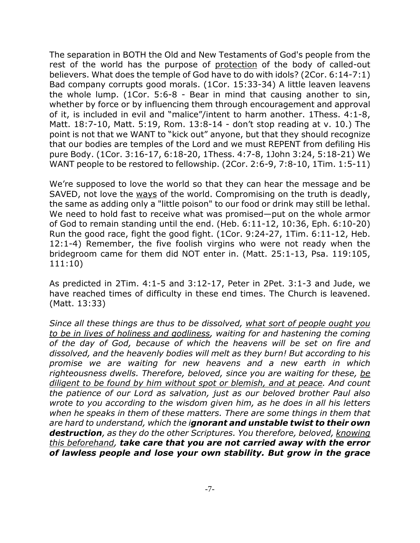The separation in BOTH the Old and New Testaments of God's people from the rest of the world has the purpose of protection of the body of called-out believers. What does the temple of God have to do with idols? (2Cor. 6:14-7:1) Bad company corrupts good morals. (1Cor. 15:33-34) A little leaven leavens the whole lump. (1Cor. 5:6-8 - Bear in mind that causing another to sin, whether by force or by influencing them through encouragement and approval of it, is included in evil and "malice"/intent to harm another. 1Thess. 4:1-8, Matt. 18:7-10, Matt. 5:19, Rom. 13:8-14 - don't stop reading at v. 10.) The point is not that we WANT to "kick out" anyone, but that they should recognize that our bodies are temples of the Lord and we must REPENT from defiling His pure Body. (1Cor. 3:16-17, 6:18-20, 1Thess. 4:7-8, 1John 3:24, 5:18-21) We WANT people to be restored to fellowship. (2Cor. 2:6-9, 7:8-10, 1Tim. 1:5-11)

We're supposed to love the world so that they can hear the message and be SAVED, not love the ways of the world. Compromising on the truth is deadly, the same as adding only a "little poison" to our food or drink may still be lethal. We need to hold fast to receive what was promised—put on the whole armor of God to remain standing until the end. (Heb. 6:11-12, 10:36, Eph. 6:10-20) Run the good race, fight the good fight. (1Cor. 9:24-27, 1Tim. 6:11-12, Heb. 12:1-4) Remember, the five foolish virgins who were not ready when the bridegroom came for them did NOT enter in. (Matt. 25:1-13, Psa. 119:105, 111:10)

As predicted in 2Tim. 4:1-5 and 3:12-17, Peter in 2Pet. 3:1-3 and Jude, we have reached times of difficulty in these end times. The Church is leavened. (Matt. 13:33)

*Since all these things are thus to be dissolved, what sort of people ought you to be in lives of holiness and godliness, waiting for and hastening the coming of the day of God, because of which the heavens will be set on fire and dissolved, and the heavenly bodies will melt as they burn! But according to his promise we are waiting for new heavens and a new earth in which righteousness dwells. Therefore, beloved, since you are waiting for these, be diligent to be found by him without spot or blemish, and at peace. And count the patience of our Lord as salvation, just as our beloved brother Paul also wrote to you according to the wisdom given him, as he does in all his letters when he speaks in them of these matters. There are some things in them that are hard to understand, which the ignorant and unstable twist to their own destruction, as they do the other Scriptures. You therefore, beloved, knowing this beforehand, take care that you are not carried away with the error of lawless people and lose your own stability. But grow in the grace*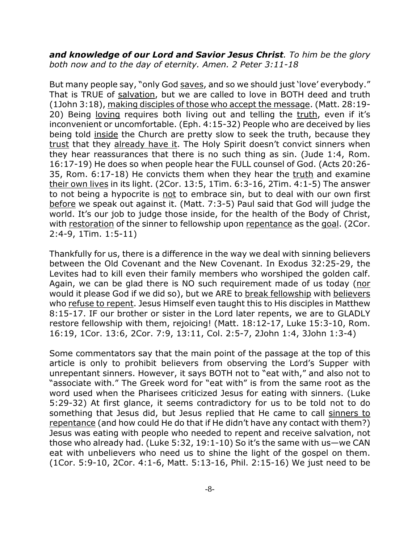*and knowledge of our Lord and Savior Jesus Christ. To him be the glory both now and to the day of eternity. Amen. 2 Peter 3:11-18*

But many people say, "only God saves, and so we should just 'love' everybody." That is TRUE of salvation, but we are called to love in BOTH deed and truth (1John 3:18), making disciples of those who accept the message. (Matt. 28:19- 20) Being loving requires both living out and telling the truth, even if it's inconvenient or uncomfortable. (Eph. 4:15-32) People who are deceived by lies being told inside the Church are pretty slow to seek the truth, because they trust that they already have it. The Holy Spirit doesn't convict sinners when they hear reassurances that there is no such thing as sin. (Jude 1:4, Rom. 16:17-19) He does so when people hear the FULL counsel of God. (Acts 20:26- 35, Rom. 6:17-18) He convicts them when they hear the truth and examine their own lives in its light. (2Cor. 13:5, 1Tim. 6:3-16, 2Tim. 4:1-5) The answer to not being a hypocrite is not to embrace sin, but to deal with our own first before we speak out against it. (Matt. 7:3-5) Paul said that God will judge the world. It's our job to judge those inside, for the health of the Body of Christ, with restoration of the sinner to fellowship upon repentance as the goal. (2Cor. 2:4-9, 1Tim. 1:5-11)

Thankfully for us, there is a difference in the way we deal with sinning believers between the Old Covenant and the New Covenant. In Exodus 32:25-29, the Levites had to kill even their family members who worshiped the golden calf. Again, we can be glad there is NO such requirement made of us today (nor would it please God if we did so), but we ARE to break fellowship with believers who refuse to repent. Jesus Himself even taught this to His disciples in Matthew 8:15-17. IF our brother or sister in the Lord later repents, we are to GLADLY restore fellowship with them, rejoicing! (Matt. 18:12-17, Luke 15:3-10, Rom. 16:19, 1Cor. 13:6, 2Cor. 7:9, 13:11, Col. 2:5-7, 2John 1:4, 3John 1:3-4)

Some commentators say that the main point of the passage at the top of this article is only to prohibit believers from observing the Lord's Supper with unrepentant sinners. However, it says BOTH not to "eat with," and also not to "associate with." The Greek word for "eat with" is from the same root as the word used when the Pharisees criticized Jesus for eating with sinners. (Luke 5:29-32) At first glance, it seems contradictory for us to be told not to do something that Jesus did, but Jesus replied that He came to call sinners to repentance (and how could He do that if He didn't have any contact with them?) Jesus was eating with people who needed to repent and receive salvation, not those who already had. (Luke 5:32, 19:1-10) So it's the same with us—we CAN eat with unbelievers who need us to shine the light of the gospel on them. (1Cor. 5:9-10, 2Cor. 4:1-6, Matt. 5:13-16, Phil. 2:15-16) We just need to be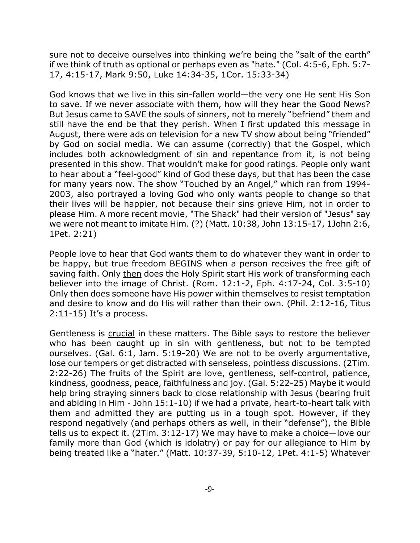sure not to deceive ourselves into thinking we're being the "salt of the earth" if we think of truth as optional or perhaps even as "hate." (Col. 4:5-6, Eph. 5:7- 17, 4:15-17, Mark 9:50, Luke 14:34-35, 1Cor. 15:33-34)

God knows that we live in this sin-fallen world—the very one He sent His Son to save. If we never associate with them, how will they hear the Good News? But Jesus came to SAVE the souls of sinners, not to merely "befriend" them and still have the end be that they perish. When I first updated this message in August, there were ads on television for a new TV show about being "friended" by God on social media. We can assume (correctly) that the Gospel, which includes both acknowledgment of sin and repentance from it, is not being presented in this show. That wouldn't make for good ratings. People only want to hear about a "feel-good" kind of God these days, but that has been the case for many years now. The show "Touched by an Angel," which ran from 1994- 2003, also portrayed a loving God who only wants people to change so that their lives will be happier, not because their sins grieve Him, not in order to please Him. A more recent movie, "The Shack" had their version of "Jesus" say we were not meant to imitate Him. (?) (Matt. 10:38, John 13:15-17, 1John 2:6, 1Pet. 2:21)

People love to hear that God wants them to do whatever they want in order to be happy, but true freedom BEGINS when a person receives the free gift of saving faith. Only then does the Holy Spirit start His work of transforming each believer into the image of Christ. (Rom. 12:1-2, Eph. 4:17-24, Col. 3:5-10) Only then does someone have His power within themselves to resist temptation and desire to know and do His will rather than their own. (Phil. 2:12-16, Titus 2:11-15) It's a process.

Gentleness is crucial in these matters. The Bible says to restore the believer who has been caught up in sin with gentleness, but not to be tempted ourselves. (Gal. 6:1, Jam. 5:19-20) We are not to be overly argumentative, lose our tempers or get distracted with senseless, pointless discussions. (2Tim. 2:22-26) The fruits of the Spirit are love, gentleness, self-control, patience, kindness, goodness, peace, faithfulness and joy. (Gal. 5:22-25) Maybe it would help bring straying sinners back to close relationship with Jesus (bearing fruit and abiding in Him - John 15:1-10) if we had a private, heart-to-heart talk with them and admitted they are putting us in a tough spot. However, if they respond negatively (and perhaps others as well, in their "defense"), the Bible tells us to expect it. (2Tim. 3:12-17) We may have to make a choice—love our family more than God (which is idolatry) or pay for our allegiance to Him by being treated like a "hater." (Matt. 10:37-39, 5:10-12, 1Pet. 4:1-5) Whatever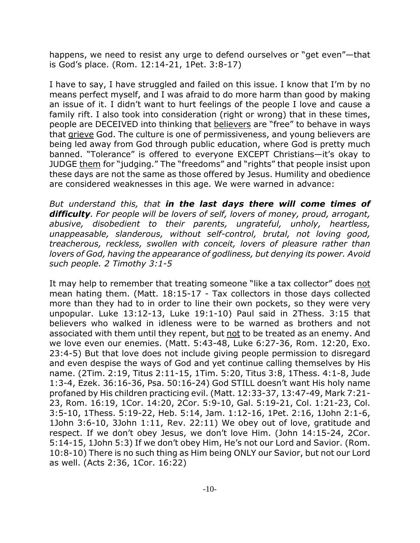happens, we need to resist any urge to defend ourselves or "get even"—that is God's place. (Rom. 12:14-21, 1Pet. 3:8-17)

I have to say, I have struggled and failed on this issue. I know that I'm by no means perfect myself, and I was afraid to do more harm than good by making an issue of it. I didn't want to hurt feelings of the people I love and cause a family rift. I also took into consideration (right or wrong) that in these times, people are DECEIVED into thinking that believers are "free" to behave in ways that grieve God. The culture is one of permissiveness, and young believers are being led away from God through public education, where God is pretty much banned. "Tolerance" is offered to everyone EXCEPT Christians—it's okay to JUDGE them for "judging." The "freedoms" and "rights" that people insist upon these days are not the same as those offered by Jesus. Humility and obedience are considered weaknesses in this age. We were warned in advance:

*But understand this, that in the last days there will come times of difficulty. For people will be lovers of self, lovers of money, proud, arrogant, abusive, disobedient to their parents, ungrateful, unholy, heartless, unappeasable, slanderous, without self-control, brutal, not loving good, treacherous, reckless, swollen with conceit, lovers of pleasure rather than lovers of God, having the appearance of godliness, but denying its power. Avoid such people. 2 Timothy 3:1-5*

It may help to remember that treating someone "like a tax collector" does not mean hating them. (Matt. 18:15-17 - Tax collectors in those days collected more than they had to in order to line their own pockets, so they were very unpopular. Luke 13:12-13, Luke 19:1-10) Paul said in 2Thess. 3:15 that believers who walked in idleness were to be warned as brothers and not associated with them until they repent, but not to be treated as an enemy. And we love even our enemies. (Matt. 5:43-48, Luke 6:27-36, Rom. 12:20, Exo. 23:4-5) But that love does not include giving people permission to disregard and even despise the ways of God and yet continue calling themselves by His name. (2Tim. 2:19, Titus 2:11-15, 1Tim. 5:20, Titus 3:8, 1Thess. 4:1-8, Jude 1:3-4, Ezek. 36:16-36, Psa. 50:16-24) God STILL doesn't want His holy name profaned by His children practicing evil. (Matt. 12:33-37, 13:47-49, Mark 7:21- 23, Rom. 16:19, 1Cor. 14:20, 2Cor. 5:9-10, Gal. 5:19-21, Col. 1:21-23, Col. 3:5-10, 1Thess. 5:19-22, Heb. 5:14, Jam. 1:12-16, 1Pet. 2:16, 1John 2:1-6, 1John 3:6-10, 3John 1:11, Rev. 22:11) We obey out of love, gratitude and respect. If we don't obey Jesus, we don't love Him. (John 14:15-24, 2Cor. 5:14-15, 1John 5:3) If we don't obey Him, He's not our Lord and Savior. (Rom. 10:8-10) There is no such thing as Him being ONLY our Savior, but not our Lord as well. (Acts 2:36, 1Cor. 16:22)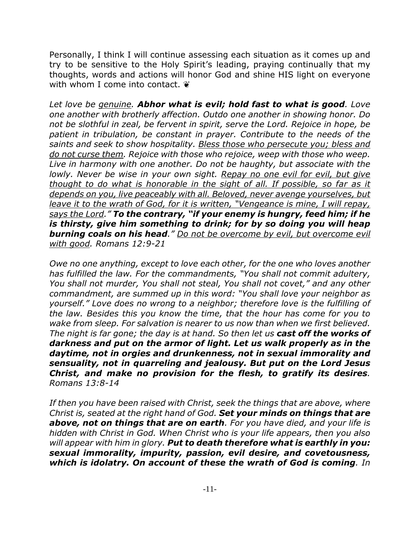Personally, I think I will continue assessing each situation as it comes up and try to be sensitive to the Holy Spirit's leading, praying continually that my thoughts, words and actions will honor God and shine HIS light on everyone with whom I come into contact.  $\ddot{\bullet}$ 

*Let love be genuine. Abhor what is evil; hold fast to what is good. Love one another with brotherly affection. Outdo one another in showing honor. Do not be slothful in zeal, be fervent in spirit, serve the Lord. Rejoice in hope, be patient in tribulation, be constant in prayer. Contribute to the needs of the saints and seek to show hospitality. Bless those who persecute you; bless and do not curse them. Rejoice with those who rejoice, weep with those who weep. Live in harmony with one another. Do not be haughty, but associate with the lowly. Never be wise in your own sight. Repay no one evil for evil, but give thought to do what is honorable in the sight of all. If possible, so far as it depends on you, live peaceably with all. Beloved, never avenge yourselves, but leave it to the wrath of God, for it is written, "Vengeance is mine, I will repay, says the Lord." To the contrary, "if your enemy is hungry, feed him; if he is thirsty, give him something to drink; for by so doing you will heap burning coals on his head." Do not be overcome by evil, but overcome evil with good. Romans 12:9-21*

*Owe no one anything, except to love each other, for the one who loves another has fulfilled the law. For the commandments, "You shall not commit adultery, You shall not murder, You shall not steal, You shall not covet," and any other commandment, are summed up in this word: "You shall love your neighbor as yourself." Love does no wrong to a neighbor; therefore love is the fulfilling of the law. Besides this you know the time, that the hour has come for you to wake from sleep. For salvation is nearer to us now than when we first believed. The night is far gone; the day is at hand. So then let us cast off the works of darkness and put on the armor of light. Let us walk properly as in the daytime, not in orgies and drunkenness, not in sexual immorality and sensuality, not in quarreling and jealousy. But put on the Lord Jesus Christ, and make no provision for the flesh, to gratify its desires. Romans 13:8-14*

*If then you have been raised with Christ, seek the things that are above, where Christ is, seated at the right hand of God. Set your minds on things that are above, not on things that are on earth. For you have died, and your life is hidden with Christ in God. When Christ who is your life appears, then you also will appear with him in glory. Put to death therefore what is earthly in you: sexual immorality, impurity, passion, evil desire, and covetousness, which is idolatry. On account of these the wrath of God is coming. In*